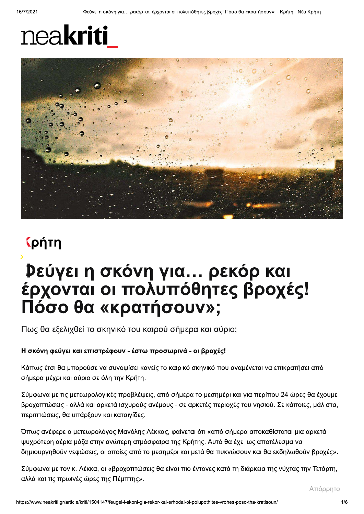## neakriti



### **(ρήτη**

# **Ρεύγει η σκόνη για... ρεκόρ και<br>έρχονται οι πολυπόθητες βροχές!** Πόσο θα «κρατήσουν»;

Πως θα εξελιχθεί το σκηνικό του καιρού σήμερα και αύριο;

#### Η σκόνη φεύγει και επιστρέφουν - έστω προσωρινά - οι βροχές!

Κάπως έτσι θα μπορούσε να συνοψίσει κανείς το καιρικό σκηνικό που αναμένεται να επικρατήσει από σήμερα μέχρι και αύριο σε όλη την Κρήτη.

Σύμφωνα με τις μετεωρολογικές προβλέψεις, από σήμερα το μεσημέρι και για περίπου 24 ώρες θα έχουμε βροχοπτώσεις - αλλά και αρκετά ισχυρούς ανέμους - σε αρκετές περιοχές του νησιού. Σε κάποιες, μάλιστα, περιπτώσεις, θα υπάρξουν και καταιγίδες.

Όπως ανέφερε ο μετεωρολόγος Μανόλης Λέκκας, φαίνεται ότι «από σήμερα αποκαθίσταται μια αρκετά ψυχρότερη αέρια μάζα στην ανώτερη ατμόσφαιρα της Κρήτης. Αυτό θα έχει ως αποτέλεσμα να δημιουργηθούν νεφώσεις, οι οποίες από το μεσημέρι και μετά θα πυκνώσουν και θα εκδηλωθούν βροχές».

Σύμφωνα με τον κ. Λέκκα, οι «βροχοπτώσεις θα είναι πιο έντονες κατά τη διάρκεια της νύχτας την Τετάρτη, αλλά και τις πρωινές ώρες της Πέμπτης».

Απόρρητο